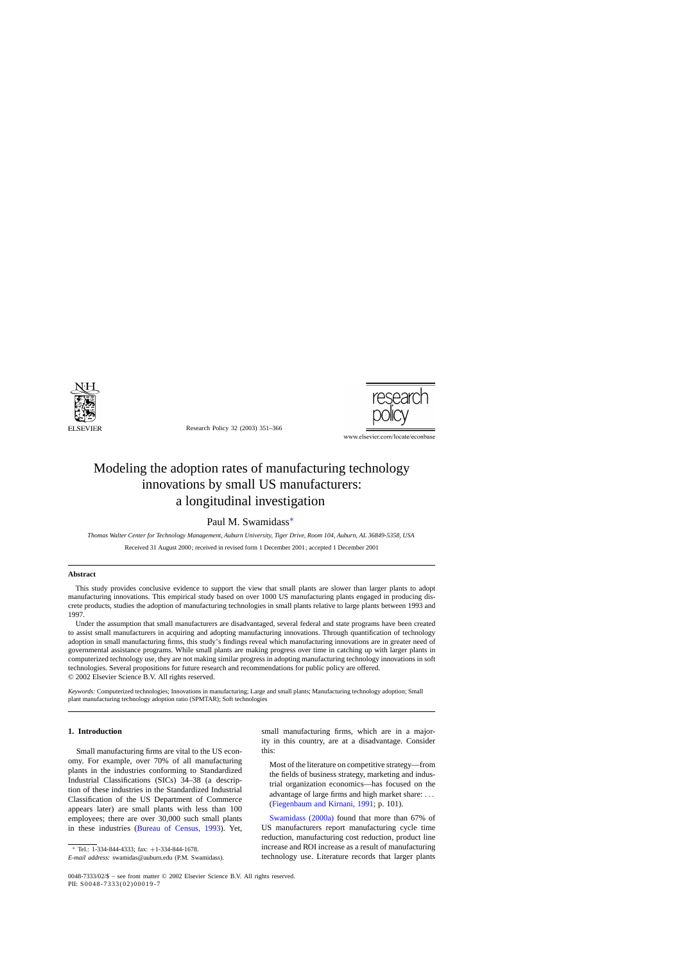

Research Policy 32 (2003) 351–366



www.elsevier.com/locate/econbase

# Modeling the adoption rates of manufacturing technology innovations by small US manufacturers: a longitudinal investigation

### Paul M. Swamidass∗

*Thomas Walter Center for Technology Management, Auburn University, Tiger Drive, Room 104, Auburn, AL 36849-5358, USA*

Received 31 August 2000; received in revised form 1 December 2001; accepted 1 December 2001

#### **Abstract**

This study provides conclusive evidence to support the view that small plants are slower than larger plants to adopt manufacturing innovations. This empirical study based on over 1000 US manufacturing plants engaged in producing discrete products, studies the adoption of manufacturing technologies in small plants relative to large plants between 1993 and 1997.

Under the assumption that small manufacturers are disadvantaged, several federal and state programs have been created to assist small manufacturers in acquiring and adopting manufacturing innovations. Through quantification of technology adoption in small manufacturing firms, this study's findings reveal which manufacturing innovations are in greater need of governmental assistance programs. While small plants are making progress over time in catching up with larger plants in computerized technology use, they are not making similar progress in adopting manufacturing technology innovations in soft technologies. Several propositions for future research and recommendations for public policy are offered. © 2002 Elsevier Science B.V. All rights reserved.

*Keywords:* Computerized technologies; Innovations in manufacturing; Large and small plants; Manufacturing technology adoption; Small plant manufacturing technology adoption ratio (SPMTAR); Soft technologies

#### **1. Introduction**

Small manufacturing firms are vital to the US economy. For example, over 70% of all manufacturing plants in the industries conforming to Standardized Industrial Classifications (SICs) 34–38 (a description of these industries in the Standardized Industrial Classification of the US Department of Commerce appears later) are small plants with less than 100 employees; there are over 30,000 such small plants in these industries ([Bureau of Census, 1993](#page--1-0)). Yet,

small manufacturing firms, which are in a majority in this country, are at a disadvantage. Consider this:

Most of the literature on competitive strategy—from the fields of business strategy, marketing and industrial organization economics—has focused on the advantage of large firms and high market share: ... ([Fiegenbaum and Kirnani, 1991;](#page--1-0) p. 101).

[Swamidass \(2000a\)](#page--1-0) found that more than 67% of US manufacturers report manufacturing cycle time reduction, manufacturing cost reduction, product line increase and ROI increase as a result of manufacturing technology use. Literature records that larger plants

Tel.: 1-334-844-4333; fax: +1-334-844-1678.

*E-mail address:* swamidas@auburn.edu (P.M. Swamidass).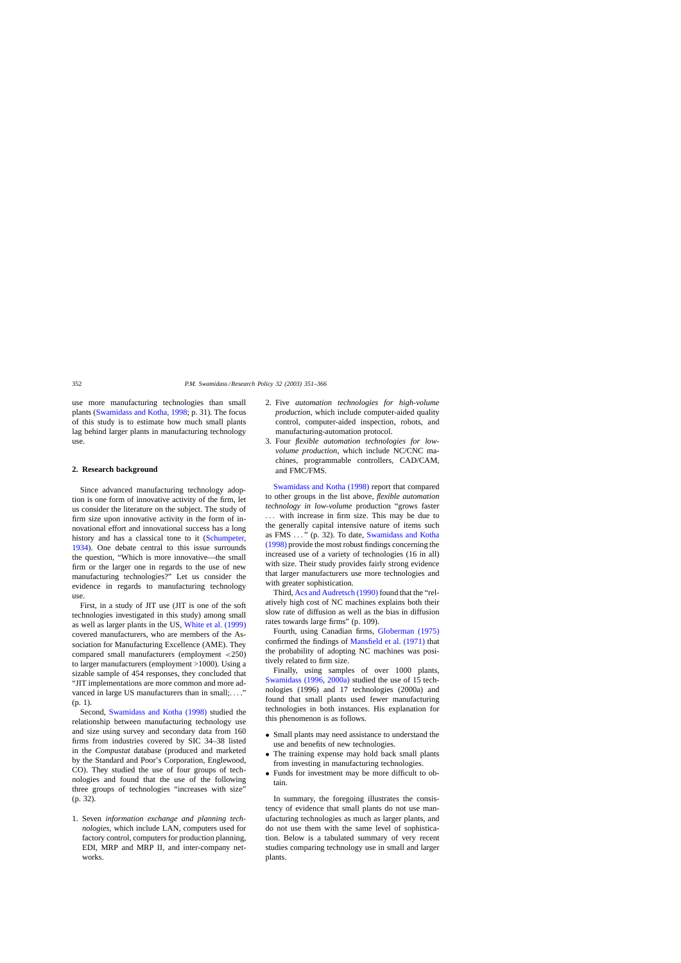use more manufacturing technologies than small plants ([Swamidass and Kotha, 1998; p](#page--1-0). 31). The focus of this study is to estimate how much small plants lag behind larger plants in manufacturing technology use.

#### **2. Research background**

Since advanced manufacturing technology adoption is one form of innovative activity of the firm, let us consider the literature on the subject. The study of firm size upon innovative activity in the form of innovational effort and innovational success has a long history and has a classical tone to it ([Schumpeter,](#page--1-0) [1934\).](#page--1-0) One debate central to this issue surrounds the question, "Which is more innovative—the small firm or the larger one in regards to the use of new manufacturing technologies?" Let us consider the evidence in regards to manufacturing technology use.

First, in a study of JIT use (JIT is one of the soft technologies investigated in this study) among small as well as larger plants in the US, [White et al. \(1999\)](#page--1-0) covered manufacturers, who are members of the Association for Manufacturing Excellence (AME). They compared small manufacturers (employment <250) to larger manufacturers (employment >1000). Using a sizable sample of 454 responses, they concluded that "JIT implementations are more common and more advanced in large US manufacturers than in small;...." (p. 1).

Second, [Swamidass and Kotha \(1998\)](#page--1-0) studied the relationship between manufacturing technology use and size using survey and secondary data from 160 firms from industries covered by SIC 34–38 listed in the *Compustat* database (produced and marketed by the Standard and Poor's Corporation, Englewood, CO). They studied the use of four groups of technologies and found that the use of the following three groups of technologies "increases with size" (p. 32).

1. Seven *information exchange and planning technologies*, which include LAN, computers used for factory control, computers for production planning, EDI, MRP and MRP II, and inter-company networks.

- 2. Five *automation technologies for high-volume production*, which include computer-aided quality control, computer-aided inspection, robots, and manufacturing-automation protocol.
- 3. Four *flexible automation technologies for lowvolume production*, which include NC/CNC machines, programmable controllers, CAD/CAM, and FMC/FMS.

[Swamidass and Kotha \(1998\)](#page--1-0) report that compared to other groups in the list above, *flexible automation technology in low-volume* production "grows faster ... with increase in firm size. This may be due to the generally capital intensive nature of items such as FMS ... " (p. 32). To date, [Swamidass and Kotha](#page--1-0) [\(1998\)](#page--1-0) provide the most robust findings concerning the increased use of a variety of technologies (16 in all) with size. Their study provides fairly strong evidence that larger manufacturers use more technologies and with greater sophistication.

Third, [Acs and Audretsch \(1990\)](#page--1-0) found that the "relatively high cost of NC machines explains both their slow rate of diffusion as well as the bias in diffusion rates towards large firms" (p. 109).

Fourth, using Canadian firms, [Globerman \(1975\)](#page--1-0) confirmed the findings of [Mansfield et al. \(1971\)](#page--1-0) that the probability of adopting NC machines was positively related to firm size.

Finally, using samples of over 1000 plants, [Swamidass \(1996, 2000a\)](#page--1-0) studied the use of 15 technologies (1996) and 17 technologies (2000a) and found that small plants used fewer manufacturing technologies in both instances. His explanation for this phenomenon is as follows.

- Small plants may need assistance to understand the use and benefits of new technologies.
- The training expense may hold back small plants from investing in manufacturing technologies.
- Funds for investment may be more difficult to obtain.

In summary, the foregoing illustrates the consistency of evidence that small plants do not use manufacturing technologies as much as larger plants, and do not use them with the same level of sophistication. Below is a tabulated summary of very recent studies comparing technology use in small and larger plants.